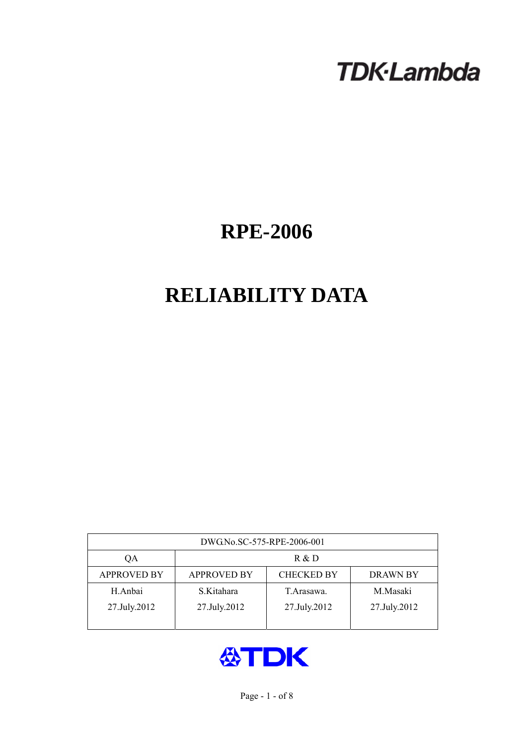# **TDK-Lambda**

## **RPE-2006**

## **RELIABILITY DATA**

| DWG.No.SC-575-RPE-2006-001 |                                                            |              |              |  |  |  |
|----------------------------|------------------------------------------------------------|--------------|--------------|--|--|--|
| ОA                         | R & D                                                      |              |              |  |  |  |
| <b>APPROVED BY</b>         | <b>CHECKED BY</b><br><b>APPROVED BY</b><br><b>DRAWN BY</b> |              |              |  |  |  |
| H.Anbai                    | S.Kitahara                                                 | T Arasawa.   | M.Masaki     |  |  |  |
| 27.July.2012               | 27.July.2012                                               | 27.July.2012 | 27.July.2012 |  |  |  |
|                            |                                                            |              |              |  |  |  |

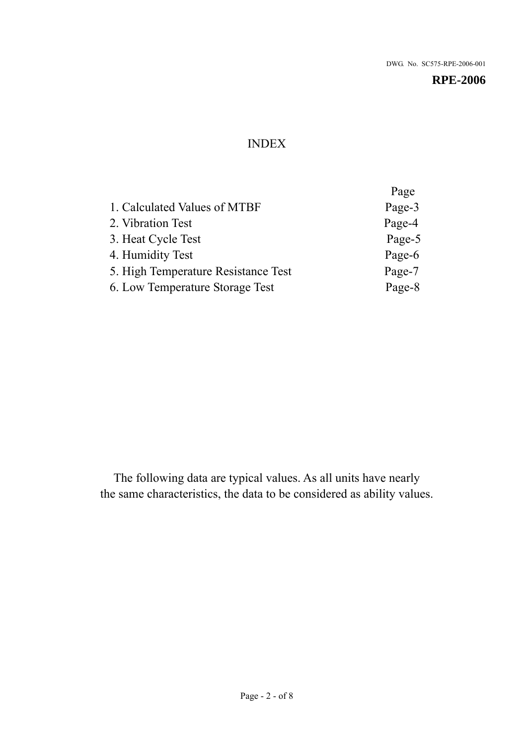## INDEX

|                                     | Page   |
|-------------------------------------|--------|
| 1. Calculated Values of MTBF        | Page-3 |
| 2. Vibration Test                   | Page-4 |
| 3. Heat Cycle Test                  | Page-5 |
| 4. Humidity Test                    | Page-6 |
| 5. High Temperature Resistance Test | Page-7 |
| 6. Low Temperature Storage Test     | Page-8 |
|                                     |        |

The following data are typical values. As all units have nearly the same characteristics, the data to be considered as ability values.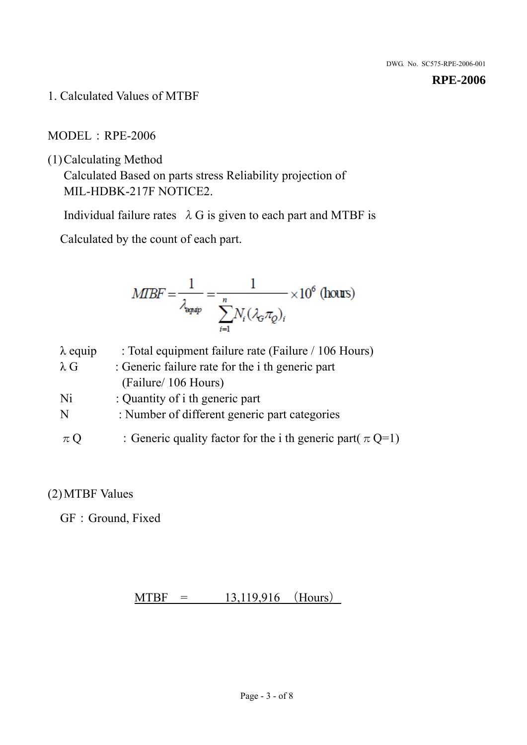1. Calculated Values of MTBF

## MODEL:RPE-2006

(1)Calculating Method

Calculated Based on parts stress Reliability projection of MIL-HDBK-217F NOTICE2.

Individual failure rates  $\lambda$  G is given to each part and MTBF is

Calculated by the count of each part.

$$
MIBF = \frac{1}{\lambda_{\text{expap}}} = \frac{1}{\sum_{i=1}^{n} N_i (\lambda_{\text{G}} \pi_Q)_i} \times 10^6 \text{ (hours)}
$$

| $\lambda$ equip | : Total equipment failure rate (Failure / 106 Hours)            |
|-----------------|-----------------------------------------------------------------|
| $\lambda$ G     | : Generic failure rate for the <i>i</i> th generic part         |
|                 | (Failure/ 106 Hours)                                            |
| Ni              | : Quantity of i th generic part                                 |
| N               | : Number of different generic part categories                   |
| $\pi$ Q         | : Generic quality factor for the i th generic part( $\pi Q=1$ ) |

## (2)MTBF Values

GF: Ground, Fixed

## $MTBF = 13,119,916$  (Hours)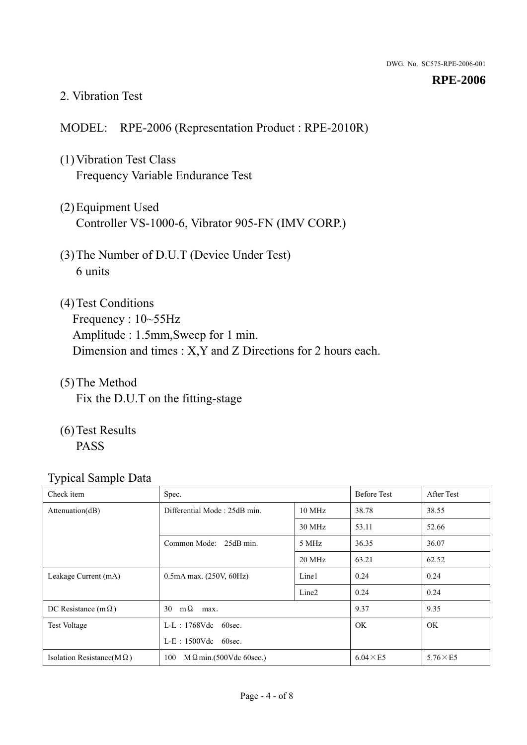#### 2. Vibration Test

## MODEL: RPE-2006 (Representation Product : RPE-2010R)

- (1)Vibration Test Class Frequency Variable Endurance Test
- (2)Equipment Used Controller VS-1000-6, Vibrator 905-FN (IMV CORP.)
- (3)The Number of D.U.T (Device Under Test) 6 units
- (4) Test Conditions Frequency : 10~55Hz Amplitude : 1.5mm,Sweep for 1 min. Dimension and times : X,Y and Z Directions for 2 hours each.
- (5)The Method Fix the D.U.T on the fitting-stage
- (6)Test Results PASS

| Check item                        | Spec.                                |                   | <b>Before Test</b> | After Test      |
|-----------------------------------|--------------------------------------|-------------------|--------------------|-----------------|
| Attenuation(dB)                   | Differential Mode: 25dB min.         |                   | 38.78              | 38.55           |
|                                   |                                      | 30 MHz            | 53.11              | 52.66           |
|                                   | Common Mode: 25dB min.               | 5 MHz             | 36.35              | 36.07           |
|                                   |                                      | 20 MHz            | 63.21              | 62.52           |
| Leakage Current (mA)              | $0.5mA$ max. $(250V, 60Hz)$          | Line1             | 0.24               | 0.24            |
|                                   |                                      | Line <sub>2</sub> | 0.24               | 0.24            |
| DC Resistance (m $\Omega$ )       | $m\Omega$<br>30<br>max.              |                   | 9.37               | 9.35            |
| <b>Test Voltage</b>               | $L-L$ : 1768Vdc 60sec.               |                   | <b>OK</b>          | <b>OK</b>       |
|                                   | $L-E$ : 1500Vdc 60sec.               |                   |                    |                 |
| Isolation Resistance( $M\Omega$ ) | 100<br>$M\Omega$ min.(500Vdc 60sec.) |                   | $6.04 \times E5$   | $5.76\times E5$ |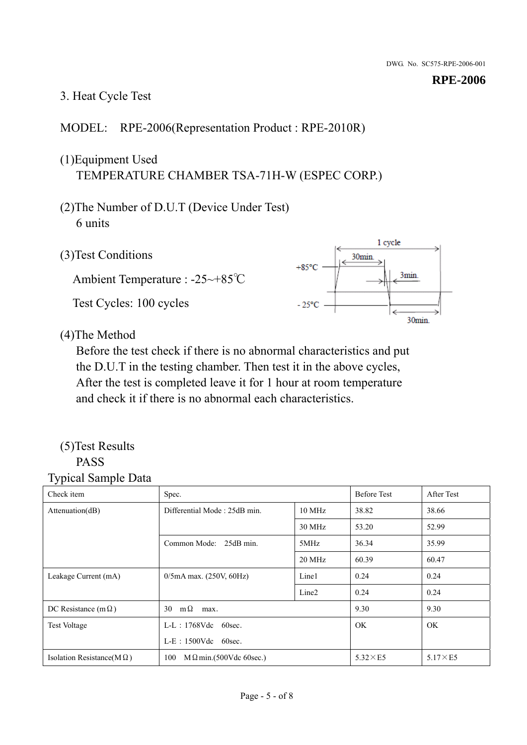## 3. Heat Cycle Test

## MODEL: RPE-2006(Representation Product : RPE-2010R)

## (1)Equipment Used TEMPERATURE CHAMBER TSA-71H-W (ESPEC CORP.)

- (2)The Number of D.U.T (Device Under Test) 6 units
- 1 cycle (3)Test Conditions 30<sub>min</sub>  $+85^{\circ}$ C 3min. Ambient Temperature : -25~+85℃ Test Cycles: 100 cycles  $-25^{\circ}$ C 30min.

(4)The Method

Before the test check if there is no abnormal characteristics and put the D.U.T in the testing chamber. Then test it in the above cycles, After the test is completed leave it for 1 hour at room temperature and check it if there is no abnormal each characteristics.

#### (5)Test Results PASS

| ┙┸<br>$\mathbf{I}$<br>Check item  | Spec.                                  |                   | <b>Before Test</b> | After Test      |
|-----------------------------------|----------------------------------------|-------------------|--------------------|-----------------|
| Attention(dB)                     | Differential Mode: 25dB min.<br>10 MHz |                   | 38.82              | 38.66           |
|                                   |                                        | 30 MHz            | 53.20              | 52.99           |
|                                   | Common Mode: 25dB min.                 | 5MHz              | 36.34              | 35.99           |
|                                   |                                        | 20 MHz            | 60.39              | 60.47           |
| Leakage Current (mA)              | $0/5$ mA max. (250V, 60Hz)             | Line1             | 0.24               | 0.24            |
|                                   |                                        | Line <sub>2</sub> | 0.24               | 0.24            |
| DC Resistance (m $\Omega$ )       | $m\Omega$<br>30<br>max.                |                   | 9.30               | 9.30            |
| <b>Test Voltage</b>               | $L-L$ : 1768Vdc 60sec.                 |                   | OK.                | OK.             |
|                                   | $L-E$ : 1500Vdc 60sec.                 |                   |                    |                 |
| Isolation Resistance(M $\Omega$ ) | 100<br>$M\Omega$ min.(500Vdc 60sec.)   |                   | $5.32\times E5$    | $5.17\times E5$ |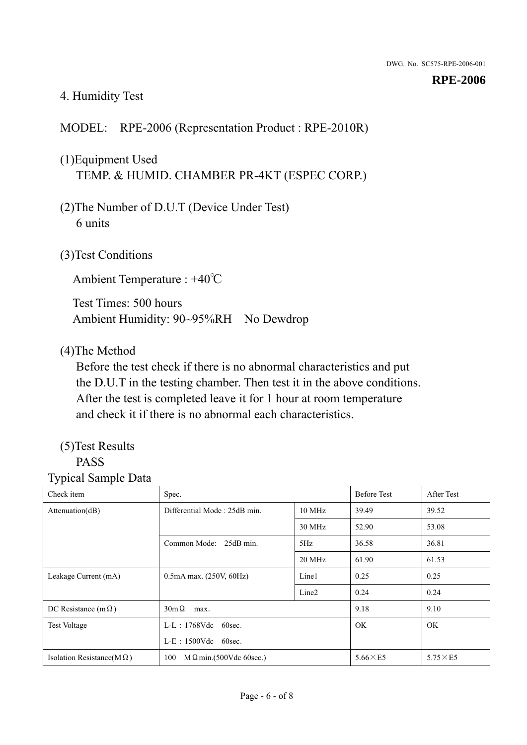## 4. Humidity Test

## MODEL: RPE-2006 (Representation Product : RPE-2010R)

## (1)Equipment Used TEMP. & HUMID. CHAMBER PR-4KT (ESPEC CORP.)

- (2)The Number of D.U.T (Device Under Test) 6 units
- (3)Test Conditions

Ambient Temperature : +40℃

Test Times: 500 hours Ambient Humidity: 90~95%RH No Dewdrop

## (4)The Method

Before the test check if there is no abnormal characteristics and put the D.U.T in the testing chamber. Then test it in the above conditions. After the test is completed leave it for 1 hour at room temperature and check it if there is no abnormal each characteristics.

## (5)Test Results

## PASS

| ັ່<br>л.<br>Check item            | Spec.                                  |                   | <b>Before Test</b> | After Test      |
|-----------------------------------|----------------------------------------|-------------------|--------------------|-----------------|
| Attenuation(dB)                   | Differential Mode: 25dB min.<br>10 MHz |                   | 39.49              | 39.52           |
|                                   |                                        | 30 MHz            | 52.90              | 53.08           |
|                                   | Common Mode: 25dB min.                 | 5Hz               | 36.58              | 36.81           |
|                                   |                                        | 20 MHz            | 61.90              | 61.53           |
| Leakage Current (mA)              | $0.5mA$ max. $(250V, 60Hz)$            | Line1             | 0.25               | 0.25            |
|                                   |                                        | Line <sub>2</sub> | 0.24               | 0.24            |
| DC Resistance (m $\Omega$ )       | $30m\Omega$<br>max.                    |                   | 9.18               | 9.10            |
| <b>Test Voltage</b>               | $L-L$ : 1768Vdc 60sec.                 |                   | OK.                | OK.             |
|                                   | $L-E$ : 1500Vdc 60sec.                 |                   |                    |                 |
| Isolation Resistance(M $\Omega$ ) | $M \Omega$ min.(500Vdc 60sec.)<br>100  |                   | $5.66\times E5$    | $5.75\times E5$ |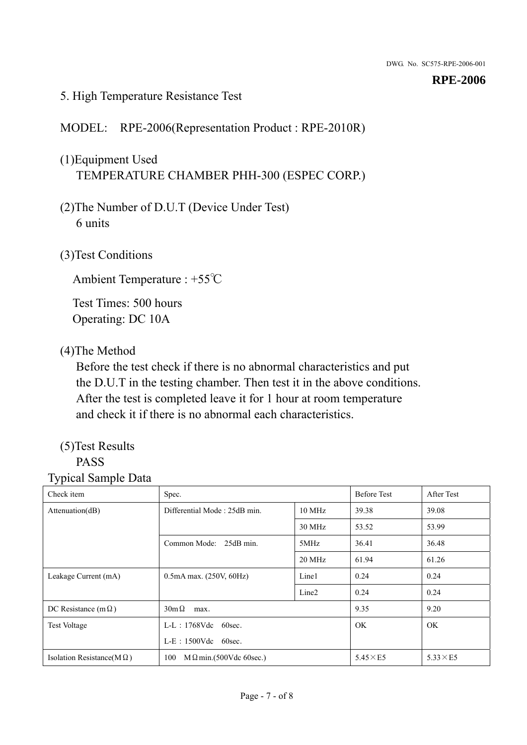#### 5. High Temperature Resistance Test

## MODEL: RPE-2006(Representation Product : RPE-2010R)

## (1)Equipment Used TEMPERATURE CHAMBER PHH-300 (ESPEC CORP.)

- (2)The Number of D.U.T (Device Under Test) 6 units
- (3)Test Conditions

Ambient Temperature : +55℃

Test Times: 500 hours Operating: DC 10A

## (4)The Method

Before the test check if there is no abnormal characteristics and put the D.U.T in the testing chamber. Then test it in the above conditions. After the test is completed leave it for 1 hour at room temperature and check it if there is no abnormal each characteristics.

## (5)Test Results

## PASS

| . .<br>Check item                 | Spec.                                  |                   | <b>Before Test</b> | After Test      |
|-----------------------------------|----------------------------------------|-------------------|--------------------|-----------------|
| Attention(dB)                     | Differential Mode: 25dB min.<br>10 MHz |                   | 39.38              | 39.08           |
|                                   |                                        | 30 MHz            | 53.52              | 53.99           |
|                                   | Common Mode: 25dB min.                 | 5MHz              | 36.41              | 36.48           |
|                                   |                                        | 20 MHz            | 61.94              | 61.26           |
| Leakage Current (mA)              | $0.5mA$ max. $(250V, 60Hz)$            | Line1             | 0.24               | 0.24            |
|                                   |                                        | Line <sub>2</sub> | 0.24               | 0.24            |
| DC Resistance (m $\Omega$ )       | $30m\Omega$<br>max.                    |                   | 9.35               | 9.20            |
| <b>Test Voltage</b>               | $L-L$ : 1768Vdc 60sec.                 |                   | <b>OK</b>          | OK.             |
|                                   | $L-E$ : 1500Vdc 60sec.                 |                   |                    |                 |
| Isolation Resistance( $M\Omega$ ) | 100<br>$M \Omega$ min.(500Vdc 60sec.)  |                   | $5.45\times E5$    | $5.33\times E5$ |